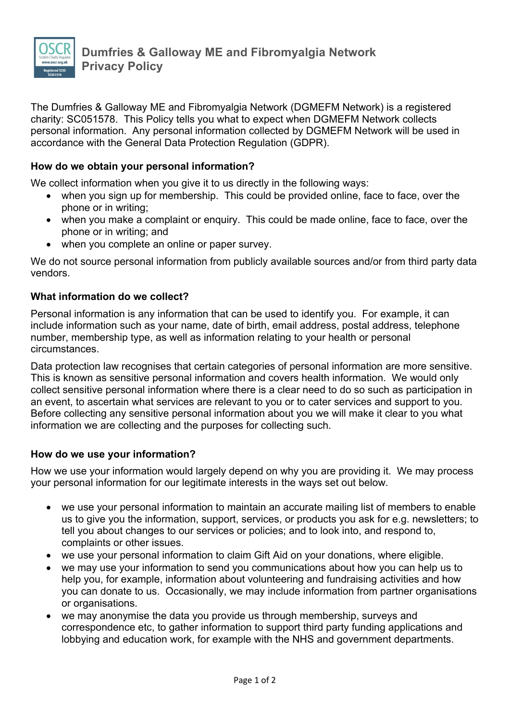

The Dumfries & Galloway ME and Fibromyalgia Network (DGMEFM Network) is a registered charity: SC051578. This Policy tells you what to expect when DGMEFM Network collects personal information. Any personal information collected by DGMEFM Network will be used in accordance with the General Data Protection Regulation (GDPR).

## **How do we obtain your personal information?**

We collect information when you give it to us directly in the following ways:

- when you sign up for membership. This could be provided online, face to face, over the phone or in writing;
- when you make a complaint or enquiry. This could be made online, face to face, over the phone or in writing; and
- when you complete an online or paper survey.

We do not source personal information from publicly available sources and/or from third party data vendors.

### **What information do we collect?**

Personal information is any information that can be used to identify you. For example, it can include information such as your name, date of birth, email address, postal address, telephone number, membership type, as well as information relating to your health or personal circumstances.

Data protection law recognises that certain categories of personal information are more sensitive. This is known as sensitive personal information and covers health information. We would only collect sensitive personal information where there is a clear need to do so such as participation in an event, to ascertain what services are relevant to you or to cater services and support to you. Before collecting any sensitive personal information about you we will make it clear to you what information we are collecting and the purposes for collecting such.

#### **How do we use your information?**

How we use your information would largely depend on why you are providing it. We may process your personal information for our legitimate interests in the ways set out below.

- we use your personal information to maintain an accurate mailing list of members to enable us to give you the information, support, services, or products you ask for e.g. newsletters; to tell you about changes to our services or policies; and to look into, and respond to, complaints or other issues.
- we use your personal information to claim Gift Aid on your donations, where eligible.
- we may use your information to send you communications about how you can help us to help you, for example, information about volunteering and fundraising activities and how you can donate to us. Occasionally, we may include information from partner organisations or organisations.
- we may anonymise the data you provide us through membership, surveys and correspondence etc, to gather information to support third party funding applications and lobbying and education work, for example with the NHS and government departments.